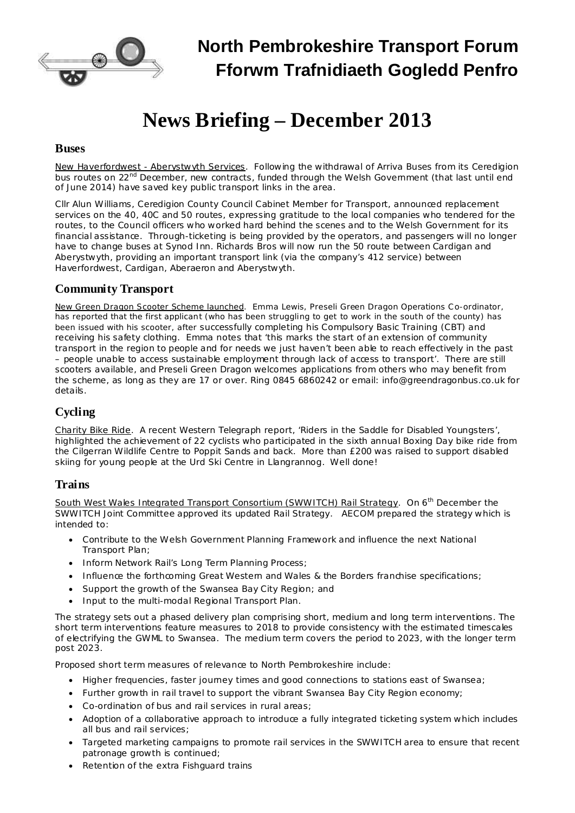

**North Pembrokeshire Transport Forum Fforwm Trafnidiaeth Gogledd Penfro**

# **News Briefing – December 2013**

#### **Buses**

New Haverfordwest - Aberystwyth Services. Following the withdrawal of Arriva Buses from its Ceredigion bus routes on 22<sup>nd</sup> December, new contracts, funded through the Welsh Government (that last until end of June 2014) have saved key public transport links in the area.

Cllr Alun Williams, Ceredigion County Council Cabinet Member for Transport, announced replacement services on the 40, 40C and 50 routes, expressing gratitude to the local companies who tendered for the routes, to the Council officers who worked hard behind the scenes and to the Welsh Government for its financial assistance. Through-ticketing is being provided by the operators, and passengers will no longer have to change buses at Synod Inn. Richards Bros will now run the 50 route between Cardigan and Aberystwyth, providing an important transport link (via the company's 412 service) between Haverfordwest, Cardigan, Aberaeron and Aberystwyth.

### **Community Transport**

New Green Dragon Scooter Scheme launched. Emma Lewis, Preseli Green Dragon Operations Co-ordinator, has reported that the first applicant (who has been struggling to get to work in the south of the county) has been issued with his scooter, after successfully completing his Compulsory Basic Training (CBT) and receiving his safety clothing. Emma notes that 'this marks the start of an extension of community transport in the region to people and for needs we just haven't been able to reach effectively in the past – people unable to access sustainable employment through lack of access to transport'. There are still scooters available, and Preseli Green Dragon welcomes applications from others who may benefit from the scheme, as long as they are 17 or over. Ring 0845 6860242 or email: [info@greendragonbus.co.uk](mailto:info@greendragonbus.co.uk) for details.

## **Cycling**

Charity Bike Ride. A recent *Western Telegraph* report, 'Riders in the Saddle for Disabled Youngsters', highlighted the achievement of 22 cyclists who participated in the sixth annual Boxing Day bike ride from the Cilgerran Wildlife Centre to Poppit Sands and back. More than £200 was raised to support disabled skiing for young people at the Urd Ski Centre in Llangrannog. Well done!

### **Trains**

South West Wales Integrated Transport Consortium (SWWITCH) Rail Strategy. On 6<sup>th</sup> December the SWWITCH Joint Committee approved its updated Rail Strategy. AECOM prepared the strategy which is intended to:

- · Contribute to the Welsh Government Planning Framework and influence the next National Transport Plan;
- · Inform Network Rail's Long Term Planning Process;
- Influence the forthcoming Great Western and Wales & the Borders franchise specifications;
- Support the growth of the Swansea Bay City Region; and
- · Input to the multi-modal Regional Transport Plan.

The strategy sets out a phased delivery plan comprising short, medium and long term interventions. The short term interventions feature measures to 2018 to provide consistency with the estimated timescales of electrifying the GWML to Swansea. The medium term covers the period to 2023, with the longer term post 2023.

Proposed short term measures of relevance to North Pembrokeshire include:

- · Higher frequencies, faster journey times and good connections to stations east of Swansea;
- · Further growth in rail travel to support the vibrant Swansea Bay City Region economy;
- · Co-ordination of bus and rail services in rural areas;
- Adoption of a collaborative approach to introduce a fully integrated ticketing system which includes all bus and rail services;
- · Targeted marketing campaigns to promote rail services in the SWWITCH area to ensure that recent patronage growth is continued;
- · Retention of the extra Fishguard trains